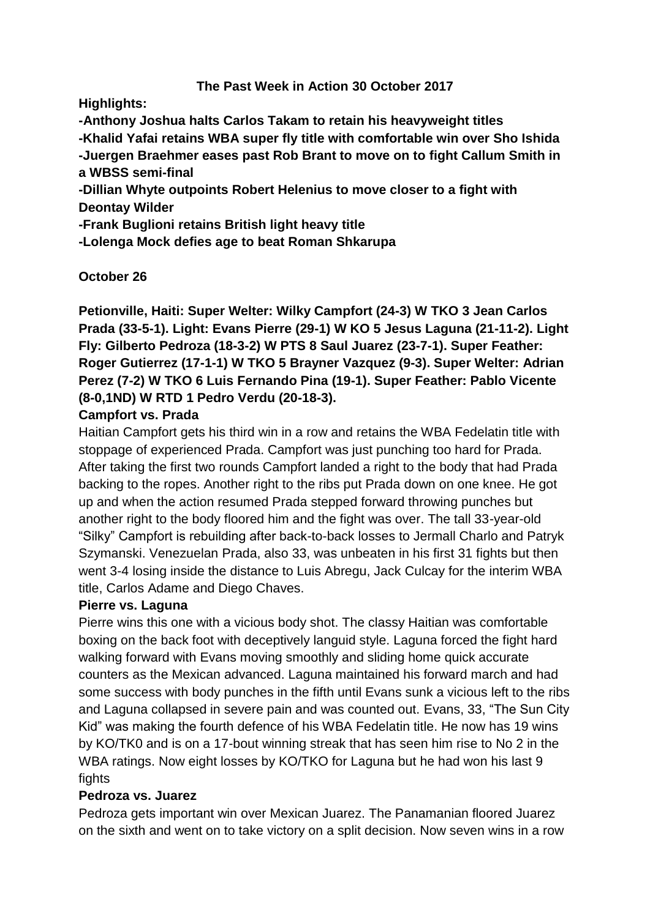### **The Past Week in Action 30 October 2017**

**Highlights:**

**-Anthony Joshua halts Carlos Takam to retain his heavyweight titles -Khalid Yafai retains WBA super fly title with comfortable win over Sho Ishida -Juergen Braehmer eases past Rob Brant to move on to fight Callum Smith in a WBSS semi-final**

**-Dillian Whyte outpoints Robert Helenius to move closer to a fight with Deontay Wilder**

**-Frank Buglioni retains British light heavy title**

**-Lolenga Mock defies age to beat Roman Shkarupa**

## **October 26**

**Petionville, Haiti: Super Welter: Wilky Campfort (24-3) W TKO 3 Jean Carlos Prada (33-5-1). Light: Evans Pierre (29-1) W KO 5 Jesus Laguna (21-11-2). Light Fly: Gilberto Pedroza (18-3-2) W PTS 8 Saul Juarez (23-7-1). Super Feather: Roger Gutierrez (17-1-1) W TKO 5 Brayner Vazquez (9-3). Super Welter: Adrian Perez (7-2) W TKO 6 Luis Fernando Pina (19-1). Super Feather: Pablo Vicente (8-0,1ND) W RTD 1 Pedro Verdu (20-18-3).**

### **Campfort vs. Prada**

Haitian Campfort gets his third win in a row and retains the WBA Fedelatin title with stoppage of experienced Prada. Campfort was just punching too hard for Prada. After taking the first two rounds Campfort landed a right to the body that had Prada backing to the ropes. Another right to the ribs put Prada down on one knee. He got up and when the action resumed Prada stepped forward throwing punches but another right to the body floored him and the fight was over. The tall 33-year-old "Silky" Campfort is rebuilding after back-to-back losses to Jermall Charlo and Patryk Szymanski. Venezuelan Prada, also 33, was unbeaten in his first 31 fights but then went 3-4 losing inside the distance to Luis Abregu, Jack Culcay for the interim WBA title, Carlos Adame and Diego Chaves.

### **Pierre vs. Laguna**

Pierre wins this one with a vicious body shot. The classy Haitian was comfortable boxing on the back foot with deceptively languid style. Laguna forced the fight hard walking forward with Evans moving smoothly and sliding home quick accurate counters as the Mexican advanced. Laguna maintained his forward march and had some success with body punches in the fifth until Evans sunk a vicious left to the ribs and Laguna collapsed in severe pain and was counted out. Evans, 33, "The Sun City Kid" was making the fourth defence of his WBA Fedelatin title. He now has 19 wins by KO/TK0 and is on a 17-bout winning streak that has seen him rise to No 2 in the WBA ratings. Now eight losses by KO/TKO for Laguna but he had won his last 9 fights

### **Pedroza vs. Juarez**

Pedroza gets important win over Mexican Juarez. The Panamanian floored Juarez on the sixth and went on to take victory on a split decision. Now seven wins in a row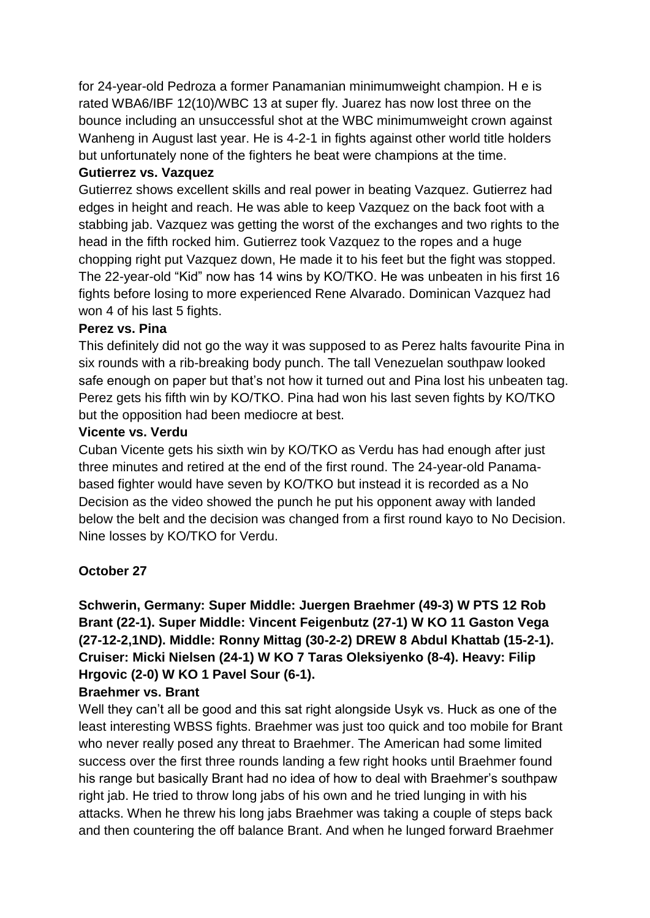for 24-year-old Pedroza a former Panamanian minimumweight champion. H e is rated WBA6/IBF 12(10)/WBC 13 at super fly. Juarez has now lost three on the bounce including an unsuccessful shot at the WBC minimumweight crown against Wanheng in August last year. He is 4-2-1 in fights against other world title holders but unfortunately none of the fighters he beat were champions at the time.

#### **Gutierrez vs. Vazquez**

Gutierrez shows excellent skills and real power in beating Vazquez. Gutierrez had edges in height and reach. He was able to keep Vazquez on the back foot with a stabbing jab. Vazquez was getting the worst of the exchanges and two rights to the head in the fifth rocked him. Gutierrez took Vazquez to the ropes and a huge chopping right put Vazquez down, He made it to his feet but the fight was stopped. The 22-year-old "Kid" now has 14 wins by KO/TKO. He was unbeaten in his first 16 fights before losing to more experienced Rene Alvarado. Dominican Vazquez had won 4 of his last 5 fights.

### **Perez vs. Pina**

This definitely did not go the way it was supposed to as Perez halts favourite Pina in six rounds with a rib-breaking body punch. The tall Venezuelan southpaw looked safe enough on paper but that's not how it turned out and Pina lost his unbeaten tag. Perez gets his fifth win by KO/TKO. Pina had won his last seven fights by KO/TKO but the opposition had been mediocre at best.

#### **Vicente vs. Verdu**

Cuban Vicente gets his sixth win by KO/TKO as Verdu has had enough after just three minutes and retired at the end of the first round. The 24-year-old Panamabased fighter would have seven by KO/TKO but instead it is recorded as a No Decision as the video showed the punch he put his opponent away with landed below the belt and the decision was changed from a first round kayo to No Decision. Nine losses by KO/TKO for Verdu.

### **October 27**

## **Schwerin, Germany: Super Middle: Juergen Braehmer (49-3) W PTS 12 Rob Brant (22-1). Super Middle: Vincent Feigenbutz (27-1) W KO 11 Gaston Vega (27-12-2,1ND). Middle: Ronny Mittag (30-2-2) DREW 8 Abdul Khattab (15-2-1). Cruiser: Micki Nielsen (24-1) W KO 7 Taras Oleksiyenko (8-4). Heavy: Filip Hrgovic (2-0) W KO 1 Pavel Sour (6-1).**

#### **Braehmer vs. Brant**

Well they can't all be good and this sat right alongside Usyk vs. Huck as one of the least interesting WBSS fights. Braehmer was just too quick and too mobile for Brant who never really posed any threat to Braehmer. The American had some limited success over the first three rounds landing a few right hooks until Braehmer found his range but basically Brant had no idea of how to deal with Braehmer's southpaw right jab. He tried to throw long jabs of his own and he tried lunging in with his attacks. When he threw his long jabs Braehmer was taking a couple of steps back and then countering the off balance Brant. And when he lunged forward Braehmer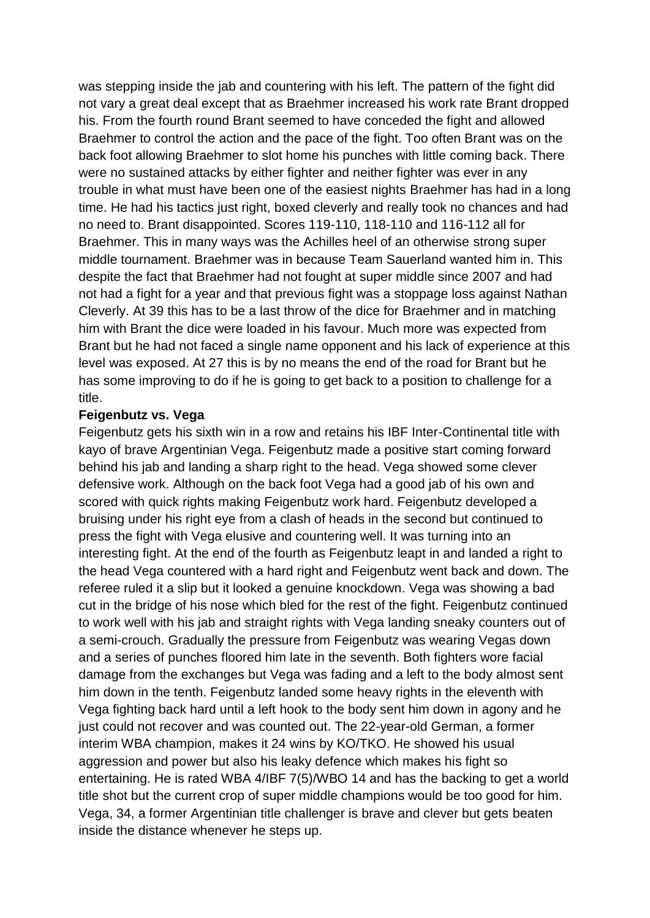was stepping inside the jab and countering with his left. The pattern of the fight did not vary a great deal except that as Braehmer increased his work rate Brant dropped his. From the fourth round Brant seemed to have conceded the fight and allowed Braehmer to control the action and the pace of the fight. Too often Brant was on the back foot allowing Braehmer to slot home his punches with little coming back. There were no sustained attacks by either fighter and neither fighter was ever in any trouble in what must have been one of the easiest nights Braehmer has had in a long time. He had his tactics just right, boxed cleverly and really took no chances and had no need to. Brant disappointed. Scores 119-110, 118-110 and 116-112 all for Braehmer. This in many ways was the Achilles heel of an otherwise strong super middle tournament. Braehmer was in because Team Sauerland wanted him in. This despite the fact that Braehmer had not fought at super middle since 2007 and had not had a fight for a year and that previous fight was a stoppage loss against Nathan Cleverly. At 39 this has to be a last throw of the dice for Braehmer and in matching him with Brant the dice were loaded in his favour. Much more was expected from Brant but he had not faced a single name opponent and his lack of experience at this level was exposed. At 27 this is by no means the end of the road for Brant but he has some improving to do if he is going to get back to a position to challenge for a title.

#### **Feigenbutz vs. Vega**

Feigenbutz gets his sixth win in a row and retains his IBF Inter-Continental title with kayo of brave Argentinian Vega. Feigenbutz made a positive start coming forward behind his jab and landing a sharp right to the head. Vega showed some clever defensive work. Although on the back foot Vega had a good jab of his own and scored with quick rights making Feigenbutz work hard. Feigenbutz developed a bruising under his right eye from a clash of heads in the second but continued to press the fight with Vega elusive and countering well. It was turning into an interesting fight. At the end of the fourth as Feigenbutz leapt in and landed a right to the head Vega countered with a hard right and Feigenbutz went back and down. The referee ruled it a slip but it looked a genuine knockdown. Vega was showing a bad cut in the bridge of his nose which bled for the rest of the fight. Feigenbutz continued to work well with his jab and straight rights with Vega landing sneaky counters out of a semi-crouch. Gradually the pressure from Feigenbutz was wearing Vegas down and a series of punches floored him late in the seventh. Both fighters wore facial damage from the exchanges but Vega was fading and a left to the body almost sent him down in the tenth. Feigenbutz landed some heavy rights in the eleventh with Vega fighting back hard until a left hook to the body sent him down in agony and he just could not recover and was counted out. The 22-year-old German, a former interim WBA champion, makes it 24 wins by KO/TKO. He showed his usual aggression and power but also his leaky defence which makes his fight so entertaining. He is rated WBA 4/IBF 7(5)/WBO 14 and has the backing to get a world title shot but the current crop of super middle champions would be too good for him. Vega, 34, a former Argentinian title challenger is brave and clever but gets beaten inside the distance whenever he steps up.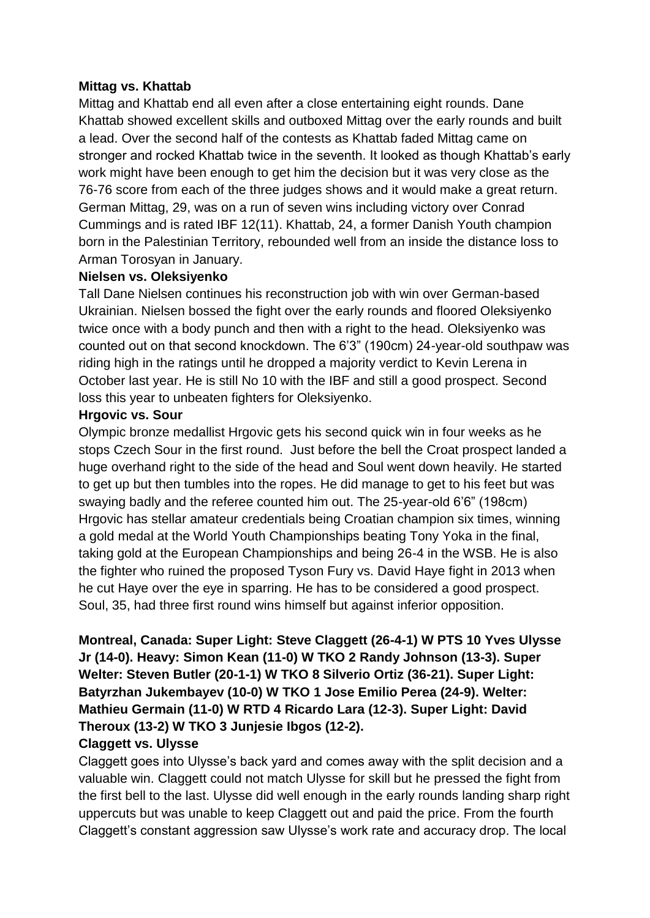#### **Mittag vs. Khattab**

Mittag and Khattab end all even after a close entertaining eight rounds. Dane Khattab showed excellent skills and outboxed Mittag over the early rounds and built a lead. Over the second half of the contests as Khattab faded Mittag came on stronger and rocked Khattab twice in the seventh. It looked as though Khattab's early work might have been enough to get him the decision but it was very close as the 76-76 score from each of the three judges shows and it would make a great return. German Mittag, 29, was on a run of seven wins including victory over Conrad Cummings and is rated IBF 12(11). Khattab, 24, a former Danish Youth champion born in the Palestinian Territory, rebounded well from an inside the distance loss to Arman Torosyan in January.

#### **Nielsen vs. Oleksiyenko**

Tall Dane Nielsen continues his reconstruction job with win over German-based Ukrainian. Nielsen bossed the fight over the early rounds and floored Oleksiyenko twice once with a body punch and then with a right to the head. Oleksiyenko was counted out on that second knockdown. The 6'3" (190cm) 24-year-old southpaw was riding high in the ratings until he dropped a majority verdict to Kevin Lerena in October last year. He is still No 10 with the IBF and still a good prospect. Second loss this year to unbeaten fighters for Oleksiyenko.

#### **Hrgovic vs. Sour**

Olympic bronze medallist Hrgovic gets his second quick win in four weeks as he stops Czech Sour in the first round. Just before the bell the Croat prospect landed a huge overhand right to the side of the head and Soul went down heavily. He started to get up but then tumbles into the ropes. He did manage to get to his feet but was swaying badly and the referee counted him out. The 25-year-old 6'6" (198cm) Hrgovic has stellar amateur credentials being Croatian champion six times, winning a gold medal at the World Youth Championships beating Tony Yoka in the final, taking gold at the European Championships and being 26-4 in the WSB. He is also the fighter who ruined the proposed Tyson Fury vs. David Haye fight in 2013 when he cut Haye over the eye in sparring. He has to be considered a good prospect. Soul, 35, had three first round wins himself but against inferior opposition.

**Montreal, Canada: Super Light: Steve Claggett (26-4-1) W PTS 10 Yves Ulysse Jr (14-0). Heavy: Simon Kean (11-0) W TKO 2 Randy Johnson (13-3). Super Welter: Steven Butler (20-1-1) W TKO 8 Silverio Ortiz (36-21). Super Light: Batyrzhan Jukembayev (10-0) W TKO 1 Jose Emilio Perea (24-9). Welter: Mathieu Germain (11-0) W RTD 4 Ricardo Lara (12-3). Super Light: David Theroux (13-2) W TKO 3 Junjesie Ibgos (12-2).**

### **Claggett vs. Ulysse**

Claggett goes into Ulysse's back yard and comes away with the split decision and a valuable win. Claggett could not match Ulysse for skill but he pressed the fight from the first bell to the last. Ulysse did well enough in the early rounds landing sharp right uppercuts but was unable to keep Claggett out and paid the price. From the fourth Claggett's constant aggression saw Ulysse's work rate and accuracy drop. The local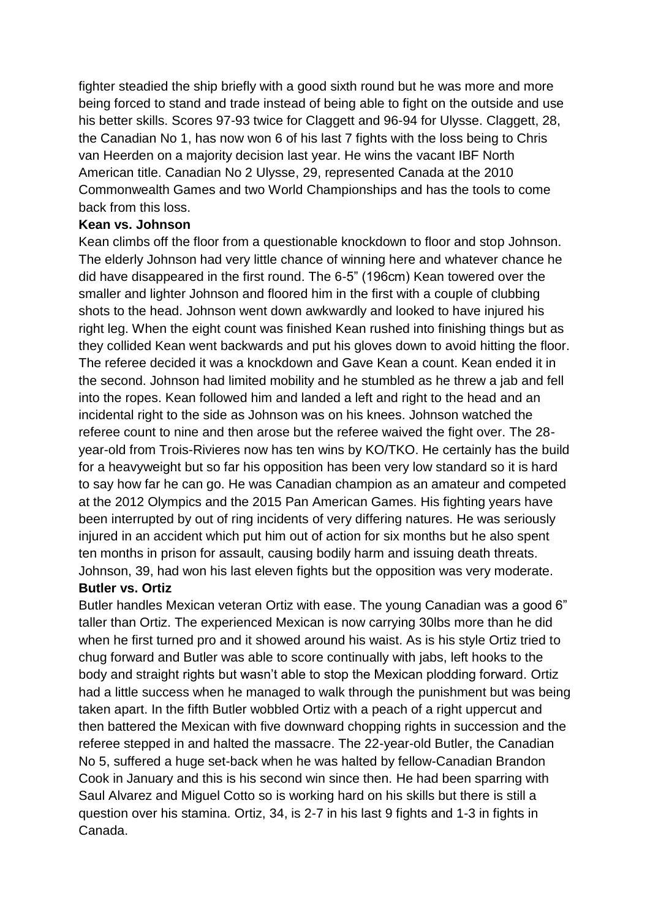fighter steadied the ship briefly with a good sixth round but he was more and more being forced to stand and trade instead of being able to fight on the outside and use his better skills. Scores 97-93 twice for Claggett and 96-94 for Ulysse. Claggett, 28, the Canadian No 1, has now won 6 of his last 7 fights with the loss being to Chris van Heerden on a majority decision last year. He wins the vacant IBF North American title. Canadian No 2 Ulysse, 29, represented Canada at the 2010 Commonwealth Games and two World Championships and has the tools to come back from this loss.

#### **Kean vs. Johnson**

Kean climbs off the floor from a questionable knockdown to floor and stop Johnson. The elderly Johnson had very little chance of winning here and whatever chance he did have disappeared in the first round. The 6-5" (196cm) Kean towered over the smaller and lighter Johnson and floored him in the first with a couple of clubbing shots to the head. Johnson went down awkwardly and looked to have injured his right leg. When the eight count was finished Kean rushed into finishing things but as they collided Kean went backwards and put his gloves down to avoid hitting the floor. The referee decided it was a knockdown and Gave Kean a count. Kean ended it in the second. Johnson had limited mobility and he stumbled as he threw a jab and fell into the ropes. Kean followed him and landed a left and right to the head and an incidental right to the side as Johnson was on his knees. Johnson watched the referee count to nine and then arose but the referee waived the fight over. The 28 year-old from Trois-Rivieres now has ten wins by KO/TKO. He certainly has the build for a heavyweight but so far his opposition has been very low standard so it is hard to say how far he can go. He was Canadian champion as an amateur and competed at the 2012 Olympics and the 2015 Pan American Games. His fighting years have been interrupted by out of ring incidents of very differing natures. He was seriously injured in an accident which put him out of action for six months but he also spent ten months in prison for assault, causing bodily harm and issuing death threats. Johnson, 39, had won his last eleven fights but the opposition was very moderate.

#### **Butler vs. Ortiz**

Butler handles Mexican veteran Ortiz with ease. The young Canadian was a good 6" taller than Ortiz. The experienced Mexican is now carrying 30lbs more than he did when he first turned pro and it showed around his waist. As is his style Ortiz tried to chug forward and Butler was able to score continually with jabs, left hooks to the body and straight rights but wasn't able to stop the Mexican plodding forward. Ortiz had a little success when he managed to walk through the punishment but was being taken apart. In the fifth Butler wobbled Ortiz with a peach of a right uppercut and then battered the Mexican with five downward chopping rights in succession and the referee stepped in and halted the massacre. The 22-year-old Butler, the Canadian No 5, suffered a huge set-back when he was halted by fellow-Canadian Brandon Cook in January and this is his second win since then. He had been sparring with Saul Alvarez and Miguel Cotto so is working hard on his skills but there is still a question over his stamina. Ortiz, 34, is 2-7 in his last 9 fights and 1-3 in fights in Canada.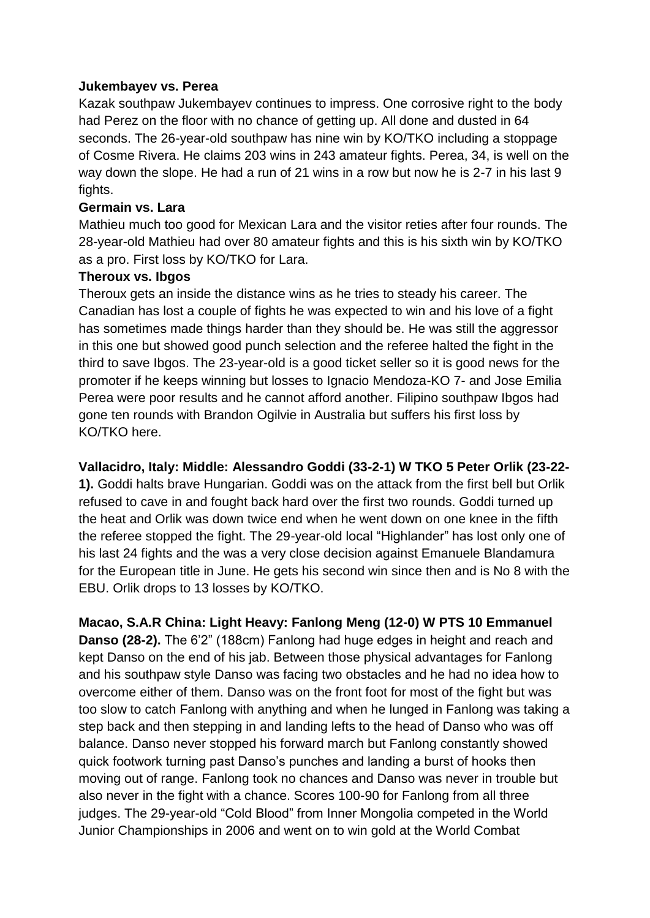#### **Jukembayev vs. Perea**

Kazak southpaw Jukembayev continues to impress. One corrosive right to the body had Perez on the floor with no chance of getting up. All done and dusted in 64 seconds. The 26-year-old southpaw has nine win by KO/TKO including a stoppage of Cosme Rivera. He claims 203 wins in 243 amateur fights. Perea, 34, is well on the way down the slope. He had a run of 21 wins in a row but now he is 2-7 in his last 9 fights.

#### **Germain vs. Lara**

Mathieu much too good for Mexican Lara and the visitor reties after four rounds. The 28-year-old Mathieu had over 80 amateur fights and this is his sixth win by KO/TKO as a pro. First loss by KO/TKO for Lara.

#### **Theroux vs. Ibgos**

Theroux gets an inside the distance wins as he tries to steady his career. The Canadian has lost a couple of fights he was expected to win and his love of a fight has sometimes made things harder than they should be. He was still the aggressor in this one but showed good punch selection and the referee halted the fight in the third to save Ibgos. The 23-year-old is a good ticket seller so it is good news for the promoter if he keeps winning but losses to Ignacio Mendoza-KO 7- and Jose Emilia Perea were poor results and he cannot afford another. Filipino southpaw Ibgos had gone ten rounds with Brandon Ogilvie in Australia but suffers his first loss by KO/TKO here.

### **Vallacidro, Italy: Middle: Alessandro Goddi (33-2-1) W TKO 5 Peter Orlik (23-22-**

**1).** Goddi halts brave Hungarian. Goddi was on the attack from the first bell but Orlik refused to cave in and fought back hard over the first two rounds. Goddi turned up the heat and Orlik was down twice end when he went down on one knee in the fifth the referee stopped the fight. The 29-year-old local "Highlander" has lost only one of his last 24 fights and the was a very close decision against Emanuele Blandamura for the European title in June. He gets his second win since then and is No 8 with the EBU. Orlik drops to 13 losses by KO/TKO.

**Macao, S.A.R China: Light Heavy: Fanlong Meng (12-0) W PTS 10 Emmanuel Danso (28-2).** The 6'2" (188cm) Fanlong had huge edges in height and reach and kept Danso on the end of his jab. Between those physical advantages for Fanlong and his southpaw style Danso was facing two obstacles and he had no idea how to overcome either of them. Danso was on the front foot for most of the fight but was too slow to catch Fanlong with anything and when he lunged in Fanlong was taking a step back and then stepping in and landing lefts to the head of Danso who was off balance. Danso never stopped his forward march but Fanlong constantly showed quick footwork turning past Danso's punches and landing a burst of hooks then moving out of range. Fanlong took no chances and Danso was never in trouble but also never in the fight with a chance. Scores 100-90 for Fanlong from all three judges. The 29-year-old "Cold Blood" from Inner Mongolia competed in the World Junior Championships in 2006 and went on to win gold at the World Combat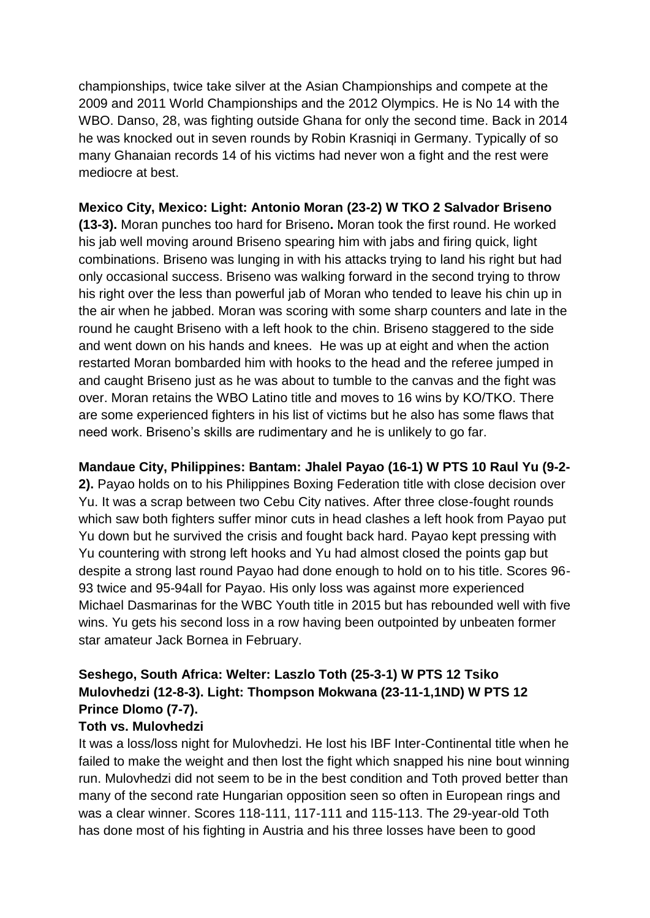championships, twice take silver at the Asian Championships and compete at the 2009 and 2011 World Championships and the 2012 Olympics. He is No 14 with the WBO. Danso, 28, was fighting outside Ghana for only the second time. Back in 2014 he was knocked out in seven rounds by Robin Krasniqi in Germany. Typically of so many Ghanaian records 14 of his victims had never won a fight and the rest were mediocre at best.

## **Mexico City, Mexico: Light: Antonio Moran (23-2) W TKO 2 Salvador Briseno**

**(13-3).** Moran punches too hard for Briseno**.** Moran took the first round. He worked his jab well moving around Briseno spearing him with jabs and firing quick, light combinations. Briseno was lunging in with his attacks trying to land his right but had only occasional success. Briseno was walking forward in the second trying to throw his right over the less than powerful jab of Moran who tended to leave his chin up in the air when he jabbed. Moran was scoring with some sharp counters and late in the round he caught Briseno with a left hook to the chin. Briseno staggered to the side and went down on his hands and knees. He was up at eight and when the action restarted Moran bombarded him with hooks to the head and the referee jumped in and caught Briseno just as he was about to tumble to the canvas and the fight was over. Moran retains the WBO Latino title and moves to 16 wins by KO/TKO. There are some experienced fighters in his list of victims but he also has some flaws that need work. Briseno's skills are rudimentary and he is unlikely to go far.

#### **Mandaue City, Philippines: Bantam: Jhalel Payao (16-1) W PTS 10 Raul Yu (9-2-**

**2).** Payao holds on to his Philippines Boxing Federation title with close decision over Yu. It was a scrap between two Cebu City natives. After three close-fought rounds which saw both fighters suffer minor cuts in head clashes a left hook from Payao put Yu down but he survived the crisis and fought back hard. Payao kept pressing with Yu countering with strong left hooks and Yu had almost closed the points gap but despite a strong last round Payao had done enough to hold on to his title. Scores 96- 93 twice and 95-94all for Payao. His only loss was against more experienced Michael Dasmarinas for the WBC Youth title in 2015 but has rebounded well with five wins. Yu gets his second loss in a row having been outpointed by unbeaten former star amateur Jack Bornea in February.

## **Seshego, South Africa: Welter: Laszlo Toth (25-3-1) W PTS 12 Tsiko Mulovhedzi (12-8-3). Light: Thompson Mokwana (23-11-1,1ND) W PTS 12 Prince Dlomo (7-7).**

### **Toth vs. Mulovhedzi**

It was a loss/loss night for Mulovhedzi. He lost his IBF Inter-Continental title when he failed to make the weight and then lost the fight which snapped his nine bout winning run. Mulovhedzi did not seem to be in the best condition and Toth proved better than many of the second rate Hungarian opposition seen so often in European rings and was a clear winner. Scores 118-111, 117-111 and 115-113. The 29-year-old Toth has done most of his fighting in Austria and his three losses have been to good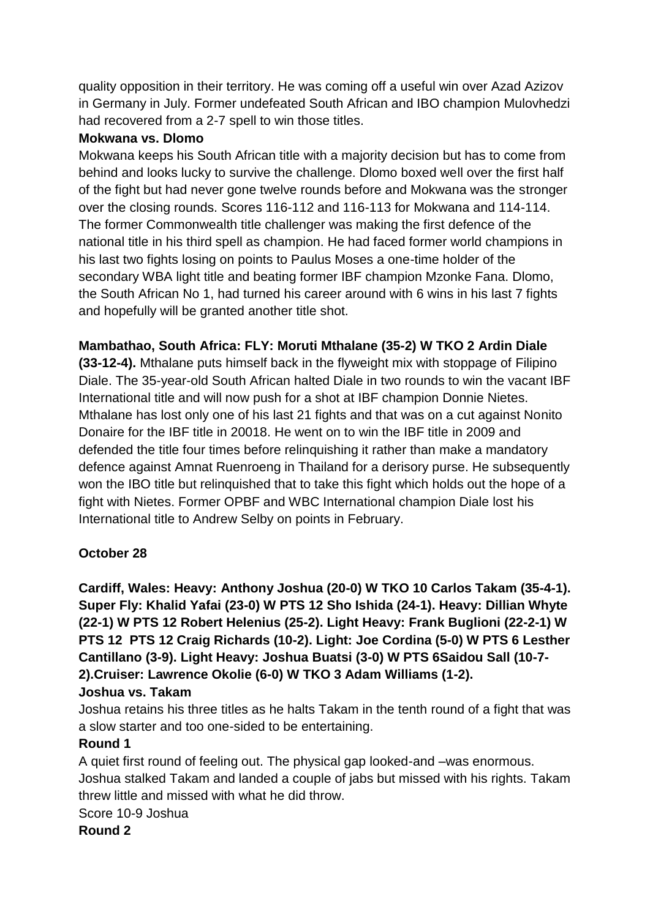quality opposition in their territory. He was coming off a useful win over Azad Azizov in Germany in July. Former undefeated South African and IBO champion Mulovhedzi had recovered from a 2-7 spell to win those titles.

#### **Mokwana vs. Dlomo**

Mokwana keeps his South African title with a majority decision but has to come from behind and looks lucky to survive the challenge. Dlomo boxed well over the first half of the fight but had never gone twelve rounds before and Mokwana was the stronger over the closing rounds. Scores 116-112 and 116-113 for Mokwana and 114-114. The former Commonwealth title challenger was making the first defence of the national title in his third spell as champion. He had faced former world champions in his last two fights losing on points to Paulus Moses a one-time holder of the secondary WBA light title and beating former IBF champion Mzonke Fana. Dlomo, the South African No 1, had turned his career around with 6 wins in his last 7 fights and hopefully will be granted another title shot.

### **Mambathao, South Africa: FLY: Moruti Mthalane (35-2) W TKO 2 Ardin Diale**

**(33-12-4).** Mthalane puts himself back in the flyweight mix with stoppage of Filipino Diale. The 35-year-old South African halted Diale in two rounds to win the vacant IBF International title and will now push for a shot at IBF champion Donnie Nietes. Mthalane has lost only one of his last 21 fights and that was on a cut against Nonito Donaire for the IBF title in 20018. He went on to win the IBF title in 2009 and defended the title four times before relinquishing it rather than make a mandatory defence against Amnat Ruenroeng in Thailand for a derisory purse. He subsequently won the IBO title but relinquished that to take this fight which holds out the hope of a fight with Nietes. Former OPBF and WBC International champion Diale lost his International title to Andrew Selby on points in February.

### **October 28**

**Cardiff, Wales: Heavy: Anthony Joshua (20-0) W TKO 10 Carlos Takam (35-4-1). Super Fly: Khalid Yafai (23-0) W PTS 12 Sho Ishida (24-1). Heavy: Dillian Whyte (22-1) W PTS 12 Robert Helenius (25-2). Light Heavy: Frank Buglioni (22-2-1) W PTS 12 PTS 12 Craig Richards (10-2). Light: Joe Cordina (5-0) W PTS 6 Lesther Cantillano (3-9). Light Heavy: Joshua Buatsi (3-0) W PTS 6Saidou Sall (10-7- 2).Cruiser: Lawrence Okolie (6-0) W TKO 3 Adam Williams (1-2).** 

## **Joshua vs. Takam**

Joshua retains his three titles as he halts Takam in the tenth round of a fight that was a slow starter and too one-sided to be entertaining.

### **Round 1**

A quiet first round of feeling out. The physical gap looked-and –was enormous. Joshua stalked Takam and landed a couple of jabs but missed with his rights. Takam threw little and missed with what he did throw.

Score 10-9 Joshua

**Round 2**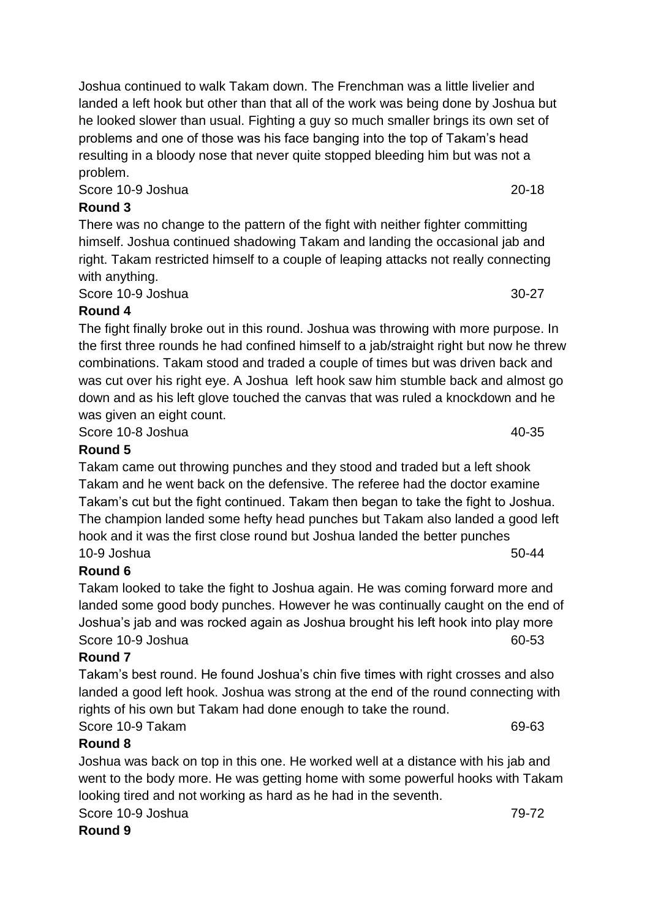Joshua continued to walk Takam down. The Frenchman was a little livelier and landed a left hook but other than that all of the work was being done by Joshua but he looked slower than usual. Fighting a guy so much smaller brings its own set of problems and one of those was his face banging into the top of Takam's head resulting in a bloody nose that never quite stopped bleeding him but was not a problem.

Score 10-9 Joshua 20-18

## **Round 3**

There was no change to the pattern of the fight with neither fighter committing himself. Joshua continued shadowing Takam and landing the occasional jab and right. Takam restricted himself to a couple of leaping attacks not really connecting with anything.

Score 10-9 Joshua 30-27

## **Round 4**

The fight finally broke out in this round. Joshua was throwing with more purpose. In the first three rounds he had confined himself to a jab/straight right but now he threw combinations. Takam stood and traded a couple of times but was driven back and was cut over his right eye. A Joshua left hook saw him stumble back and almost go down and as his left glove touched the canvas that was ruled a knockdown and he was given an eight count.

Score 10-8 Joshua 40-35

## **Round 5**

Takam came out throwing punches and they stood and traded but a left shook Takam and he went back on the defensive. The referee had the doctor examine Takam's cut but the fight continued. Takam then began to take the fight to Joshua. The champion landed some hefty head punches but Takam also landed a good left hook and it was the first close round but Joshua landed the better punches 10-9 Joshua 50-44 **50-44** 

## **Round 6**

Takam looked to take the fight to Joshua again. He was coming forward more and landed some good body punches. However he was continually caught on the end of Joshua's jab and was rocked again as Joshua brought his left hook into play more Score 10-9 Joshua 60-53

### **Round 7**

Takam's best round. He found Joshua's chin five times with right crosses and also landed a good left hook. Joshua was strong at the end of the round connecting with rights of his own but Takam had done enough to take the round.

Score 10-9 Takam 69-63

## **Round 8**

Joshua was back on top in this one. He worked well at a distance with his jab and went to the body more. He was getting home with some powerful hooks with Takam looking tired and not working as hard as he had in the seventh.

Score 10-9 Joshua 79-72

**Round 9**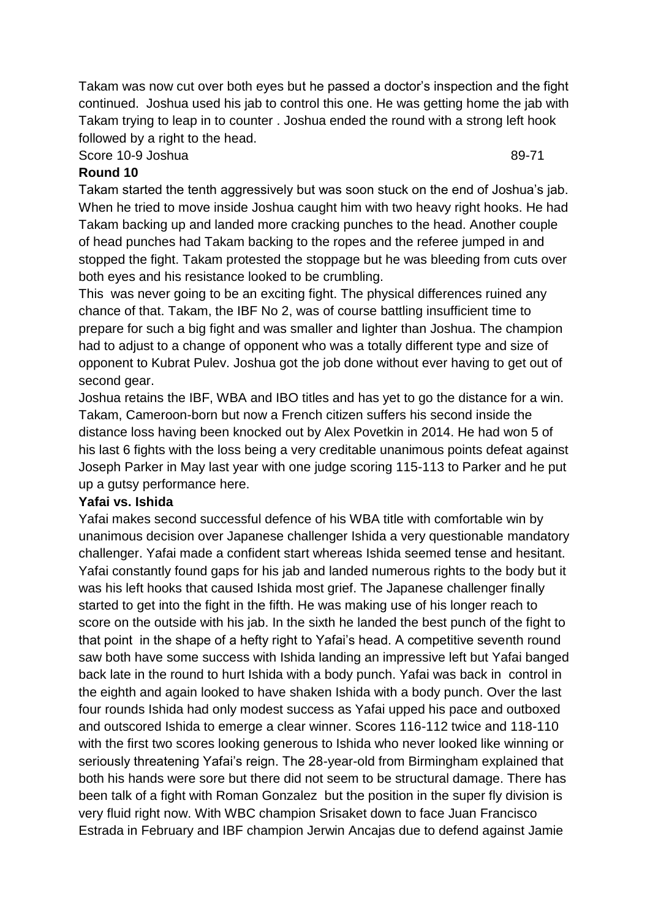Takam was now cut over both eyes but he passed a doctor's inspection and the fight continued. Joshua used his jab to control this one. He was getting home the jab with Takam trying to leap in to counter . Joshua ended the round with a strong left hook followed by a right to the head.

#### Score 10-9 Joshua 89-71

#### **Round 10**

Takam started the tenth aggressively but was soon stuck on the end of Joshua's jab. When he tried to move inside Joshua caught him with two heavy right hooks. He had Takam backing up and landed more cracking punches to the head. Another couple of head punches had Takam backing to the ropes and the referee jumped in and stopped the fight. Takam protested the stoppage but he was bleeding from cuts over both eyes and his resistance looked to be crumbling.

This was never going to be an exciting fight. The physical differences ruined any chance of that. Takam, the IBF No 2, was of course battling insufficient time to prepare for such a big fight and was smaller and lighter than Joshua. The champion had to adjust to a change of opponent who was a totally different type and size of opponent to Kubrat Pulev. Joshua got the job done without ever having to get out of second gear.

Joshua retains the IBF, WBA and IBO titles and has yet to go the distance for a win. Takam, Cameroon-born but now a French citizen suffers his second inside the distance loss having been knocked out by Alex Povetkin in 2014. He had won 5 of his last 6 fights with the loss being a very creditable unanimous points defeat against Joseph Parker in May last year with one judge scoring 115-113 to Parker and he put up a gutsy performance here.

#### **Yafai vs. Ishida**

Yafai makes second successful defence of his WBA title with comfortable win by unanimous decision over Japanese challenger Ishida a very questionable mandatory challenger. Yafai made a confident start whereas Ishida seemed tense and hesitant. Yafai constantly found gaps for his jab and landed numerous rights to the body but it was his left hooks that caused Ishida most grief. The Japanese challenger finally started to get into the fight in the fifth. He was making use of his longer reach to score on the outside with his jab. In the sixth he landed the best punch of the fight to that point in the shape of a hefty right to Yafai's head. A competitive seventh round saw both have some success with Ishida landing an impressive left but Yafai banged back late in the round to hurt Ishida with a body punch. Yafai was back in control in the eighth and again looked to have shaken Ishida with a body punch. Over the last four rounds Ishida had only modest success as Yafai upped his pace and outboxed and outscored Ishida to emerge a clear winner. Scores 116-112 twice and 118-110 with the first two scores looking generous to Ishida who never looked like winning or seriously threatening Yafai's reign. The 28-year-old from Birmingham explained that both his hands were sore but there did not seem to be structural damage. There has been talk of a fight with Roman Gonzalez but the position in the super fly division is very fluid right now. With WBC champion Srisaket down to face Juan Francisco Estrada in February and IBF champion Jerwin Ancajas due to defend against Jamie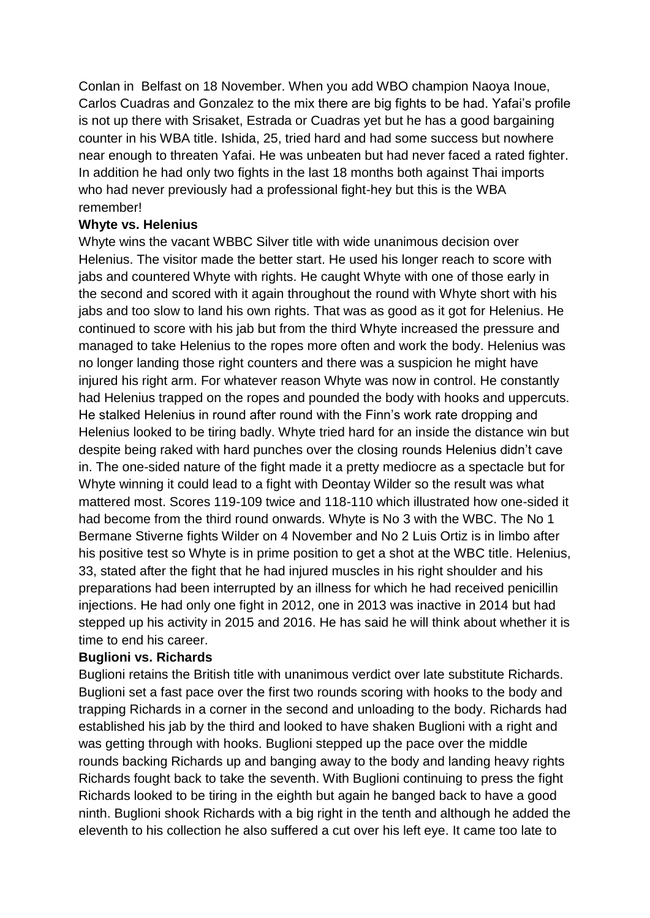Conlan in Belfast on 18 November. When you add WBO champion Naoya Inoue, Carlos Cuadras and Gonzalez to the mix there are big fights to be had. Yafai's profile is not up there with Srisaket, Estrada or Cuadras yet but he has a good bargaining counter in his WBA title. Ishida, 25, tried hard and had some success but nowhere near enough to threaten Yafai. He was unbeaten but had never faced a rated fighter. In addition he had only two fights in the last 18 months both against Thai imports who had never previously had a professional fight-hey but this is the WBA remember!

#### **Whyte vs. Helenius**

Whyte wins the vacant WBBC Silver title with wide unanimous decision over Helenius. The visitor made the better start. He used his longer reach to score with jabs and countered Whyte with rights. He caught Whyte with one of those early in the second and scored with it again throughout the round with Whyte short with his jabs and too slow to land his own rights. That was as good as it got for Helenius. He continued to score with his jab but from the third Whyte increased the pressure and managed to take Helenius to the ropes more often and work the body. Helenius was no longer landing those right counters and there was a suspicion he might have injured his right arm. For whatever reason Whyte was now in control. He constantly had Helenius trapped on the ropes and pounded the body with hooks and uppercuts. He stalked Helenius in round after round with the Finn's work rate dropping and Helenius looked to be tiring badly. Whyte tried hard for an inside the distance win but despite being raked with hard punches over the closing rounds Helenius didn't cave in. The one-sided nature of the fight made it a pretty mediocre as a spectacle but for Whyte winning it could lead to a fight with Deontay Wilder so the result was what mattered most. Scores 119-109 twice and 118-110 which illustrated how one-sided it had become from the third round onwards. Whyte is No 3 with the WBC. The No 1 Bermane Stiverne fights Wilder on 4 November and No 2 Luis Ortiz is in limbo after his positive test so Whyte is in prime position to get a shot at the WBC title. Helenius, 33, stated after the fight that he had injured muscles in his right shoulder and his preparations had been interrupted by an illness for which he had received penicillin injections. He had only one fight in 2012, one in 2013 was inactive in 2014 but had stepped up his activity in 2015 and 2016. He has said he will think about whether it is time to end his career.

### **Buglioni vs. Richards**

Buglioni retains the British title with unanimous verdict over late substitute Richards. Buglioni set a fast pace over the first two rounds scoring with hooks to the body and trapping Richards in a corner in the second and unloading to the body. Richards had established his jab by the third and looked to have shaken Buglioni with a right and was getting through with hooks. Buglioni stepped up the pace over the middle rounds backing Richards up and banging away to the body and landing heavy rights Richards fought back to take the seventh. With Buglioni continuing to press the fight Richards looked to be tiring in the eighth but again he banged back to have a good ninth. Buglioni shook Richards with a big right in the tenth and although he added the eleventh to his collection he also suffered a cut over his left eye. It came too late to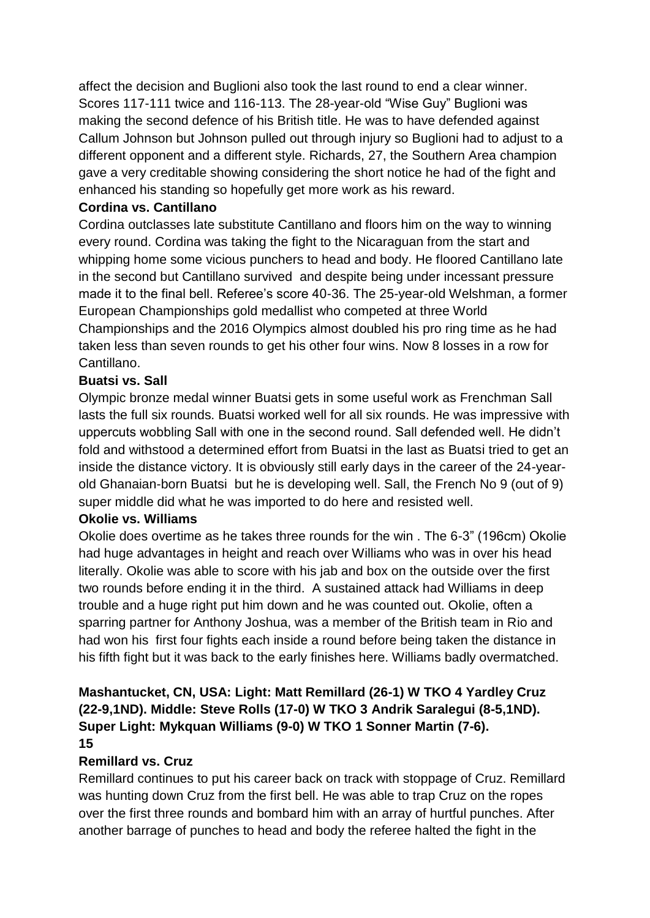affect the decision and Buglioni also took the last round to end a clear winner. Scores 117-111 twice and 116-113. The 28-year-old "Wise Guy" Buglioni was making the second defence of his British title. He was to have defended against Callum Johnson but Johnson pulled out through injury so Buglioni had to adjust to a different opponent and a different style. Richards, 27, the Southern Area champion gave a very creditable showing considering the short notice he had of the fight and enhanced his standing so hopefully get more work as his reward.

### **Cordina vs. Cantillano**

Cordina outclasses late substitute Cantillano and floors him on the way to winning every round. Cordina was taking the fight to the Nicaraguan from the start and whipping home some vicious punchers to head and body. He floored Cantillano late in the second but Cantillano survived and despite being under incessant pressure made it to the final bell. Referee's score 40-36. The 25-year-old Welshman, a former European Championships gold medallist who competed at three World Championships and the 2016 Olympics almost doubled his pro ring time as he had taken less than seven rounds to get his other four wins. Now 8 losses in a row for Cantillano.

## **Buatsi vs. Sall**

Olympic bronze medal winner Buatsi gets in some useful work as Frenchman Sall lasts the full six rounds. Buatsi worked well for all six rounds. He was impressive with uppercuts wobbling Sall with one in the second round. Sall defended well. He didn't fold and withstood a determined effort from Buatsi in the last as Buatsi tried to get an inside the distance victory. It is obviously still early days in the career of the 24-yearold Ghanaian-born Buatsi but he is developing well. Sall, the French No 9 (out of 9) super middle did what he was imported to do here and resisted well.

### **Okolie vs. Williams**

Okolie does overtime as he takes three rounds for the win . The 6-3" (196cm) Okolie had huge advantages in height and reach over Williams who was in over his head literally. Okolie was able to score with his jab and box on the outside over the first two rounds before ending it in the third. A sustained attack had Williams in deep trouble and a huge right put him down and he was counted out. Okolie, often a sparring partner for Anthony Joshua, was a member of the British team in Rio and had won his first four fights each inside a round before being taken the distance in his fifth fight but it was back to the early finishes here. Williams badly overmatched.

# **Mashantucket, CN, USA: Light: Matt Remillard (26-1) W TKO 4 Yardley Cruz (22-9,1ND). Middle: Steve Rolls (17-0) W TKO 3 Andrik Saralegui (8-5,1ND). Super Light: Mykquan Williams (9-0) W TKO 1 Sonner Martin (7-6).**

#### **15**

## **Remillard vs. Cruz**

Remillard continues to put his career back on track with stoppage of Cruz. Remillard was hunting down Cruz from the first bell. He was able to trap Cruz on the ropes over the first three rounds and bombard him with an array of hurtful punches. After another barrage of punches to head and body the referee halted the fight in the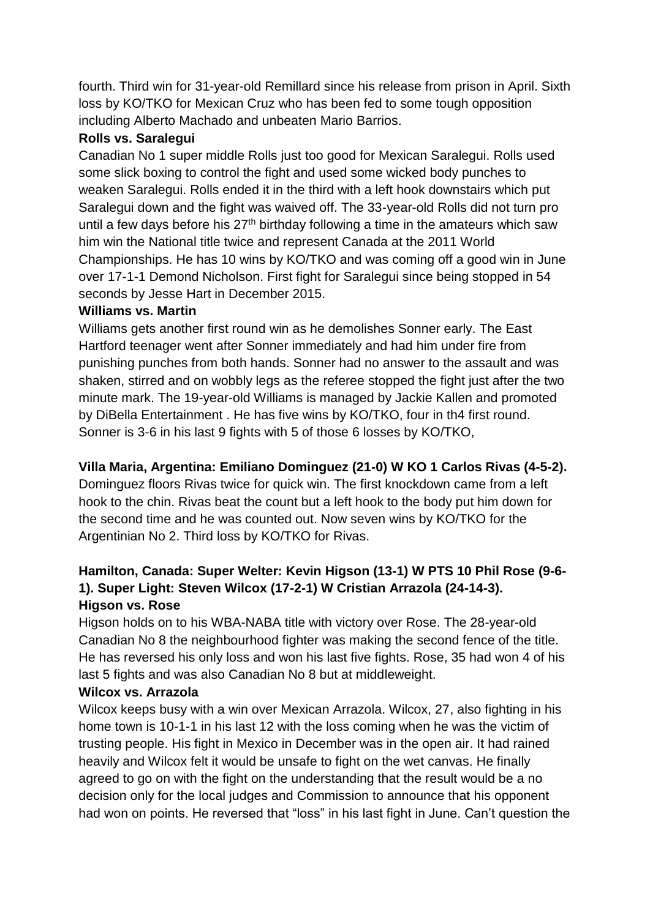fourth. Third win for 31-year-old Remillard since his release from prison in April. Sixth loss by KO/TKO for Mexican Cruz who has been fed to some tough opposition including Alberto Machado and unbeaten Mario Barrios.

### **Rolls vs. Saralegui**

Canadian No 1 super middle Rolls just too good for Mexican Saralegui. Rolls used some slick boxing to control the fight and used some wicked body punches to weaken Saralegui. Rolls ended it in the third with a left hook downstairs which put Saralegui down and the fight was waived off. The 33-year-old Rolls did not turn pro until a few days before his  $27<sup>th</sup>$  birthday following a time in the amateurs which saw him win the National title twice and represent Canada at the 2011 World Championships. He has 10 wins by KO/TKO and was coming off a good win in June over 17-1-1 Demond Nicholson. First fight for Saralegui since being stopped in 54 seconds by Jesse Hart in December 2015.

## **Williams vs. Martin**

Williams gets another first round win as he demolishes Sonner early. The East Hartford teenager went after Sonner immediately and had him under fire from punishing punches from both hands. Sonner had no answer to the assault and was shaken, stirred and on wobbly legs as the referee stopped the fight just after the two minute mark. The 19-year-old Williams is managed by Jackie Kallen and promoted by DiBella Entertainment . He has five wins by KO/TKO, four in th4 first round. Sonner is 3-6 in his last 9 fights with 5 of those 6 losses by KO/TKO,

## **Villa Maria, Argentina: Emiliano Dominguez (21-0) W KO 1 Carlos Rivas (4-5-2).**

Dominguez floors Rivas twice for quick win. The first knockdown came from a left hook to the chin. Rivas beat the count but a left hook to the body put him down for the second time and he was counted out. Now seven wins by KO/TKO for the Argentinian No 2. Third loss by KO/TKO for Rivas.

## **Hamilton, Canada: Super Welter: Kevin Higson (13-1) W PTS 10 Phil Rose (9-6- 1). Super Light: Steven Wilcox (17-2-1) W Cristian Arrazola (24-14-3). Higson vs. Rose**

Higson holds on to his WBA-NABA title with victory over Rose. The 28-year-old Canadian No 8 the neighbourhood fighter was making the second fence of the title. He has reversed his only loss and won his last five fights. Rose, 35 had won 4 of his last 5 fights and was also Canadian No 8 but at middleweight.

### **Wilcox vs. Arrazola**

Wilcox keeps busy with a win over Mexican Arrazola. Wilcox, 27, also fighting in his home town is 10-1-1 in his last 12 with the loss coming when he was the victim of trusting people. His fight in Mexico in December was in the open air. It had rained heavily and Wilcox felt it would be unsafe to fight on the wet canvas. He finally agreed to go on with the fight on the understanding that the result would be a no decision only for the local judges and Commission to announce that his opponent had won on points. He reversed that "loss" in his last fight in June. Can't question the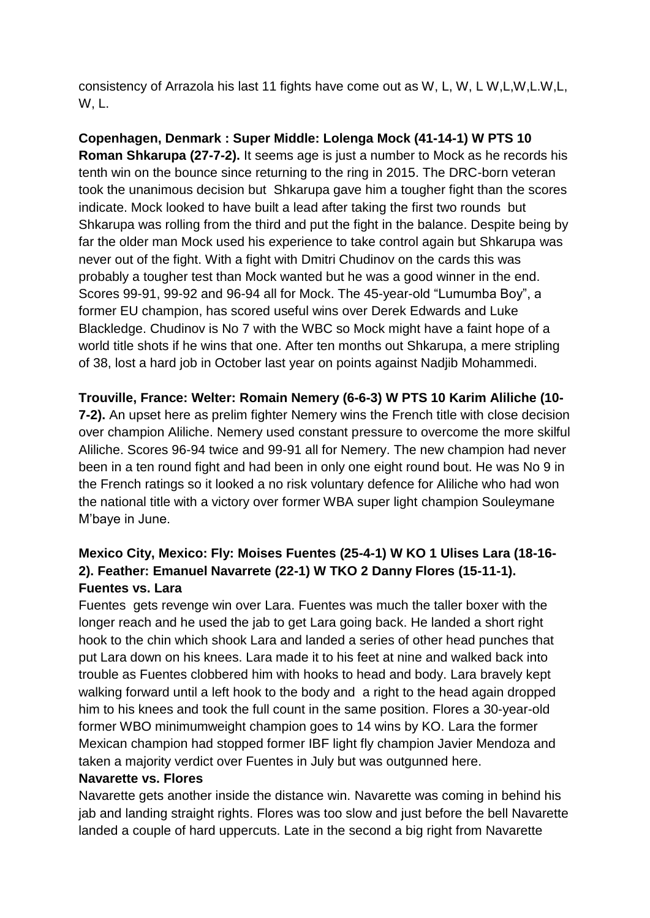consistency of Arrazola his last 11 fights have come out as W, L, W, L W,L,W,L.W,L, W, L.

**Copenhagen, Denmark : Super Middle: Lolenga Mock (41-14-1) W PTS 10 Roman Shkarupa (27-7-2).** It seems age is just a number to Mock as he records his tenth win on the bounce since returning to the ring in 2015. The DRC-born veteran took the unanimous decision but Shkarupa gave him a tougher fight than the scores indicate. Mock looked to have built a lead after taking the first two rounds but Shkarupa was rolling from the third and put the fight in the balance. Despite being by far the older man Mock used his experience to take control again but Shkarupa was never out of the fight. With a fight with Dmitri Chudinov on the cards this was probably a tougher test than Mock wanted but he was a good winner in the end. Scores 99-91, 99-92 and 96-94 all for Mock. The 45-year-old "Lumumba Boy", a former EU champion, has scored useful wins over Derek Edwards and Luke Blackledge. Chudinov is No 7 with the WBC so Mock might have a faint hope of a world title shots if he wins that one. After ten months out Shkarupa, a mere stripling of 38, lost a hard job in October last year on points against Nadjib Mohammedi.

**Trouville, France: Welter: Romain Nemery (6-6-3) W PTS 10 Karim Aliliche (10-**

**7-2).** An upset here as prelim fighter Nemery wins the French title with close decision over champion Aliliche. Nemery used constant pressure to overcome the more skilful Aliliche. Scores 96-94 twice and 99-91 all for Nemery. The new champion had never been in a ten round fight and had been in only one eight round bout. He was No 9 in the French ratings so it looked a no risk voluntary defence for Aliliche who had won the national title with a victory over former WBA super light champion Souleymane M'baye in June.

## **Mexico City, Mexico: Fly: Moises Fuentes (25-4-1) W KO 1 Ulises Lara (18-16- 2). Feather: Emanuel Navarrete (22-1) W TKO 2 Danny Flores (15-11-1). Fuentes vs. Lara**

Fuentes gets revenge win over Lara. Fuentes was much the taller boxer with the longer reach and he used the jab to get Lara going back. He landed a short right hook to the chin which shook Lara and landed a series of other head punches that put Lara down on his knees. Lara made it to his feet at nine and walked back into trouble as Fuentes clobbered him with hooks to head and body. Lara bravely kept walking forward until a left hook to the body and a right to the head again dropped him to his knees and took the full count in the same position. Flores a 30-year-old former WBO minimumweight champion goes to 14 wins by KO. Lara the former Mexican champion had stopped former IBF light fly champion Javier Mendoza and taken a majority verdict over Fuentes in July but was outgunned here.

#### **Navarette vs. Flores**

Navarette gets another inside the distance win. Navarette was coming in behind his jab and landing straight rights. Flores was too slow and just before the bell Navarette landed a couple of hard uppercuts. Late in the second a big right from Navarette